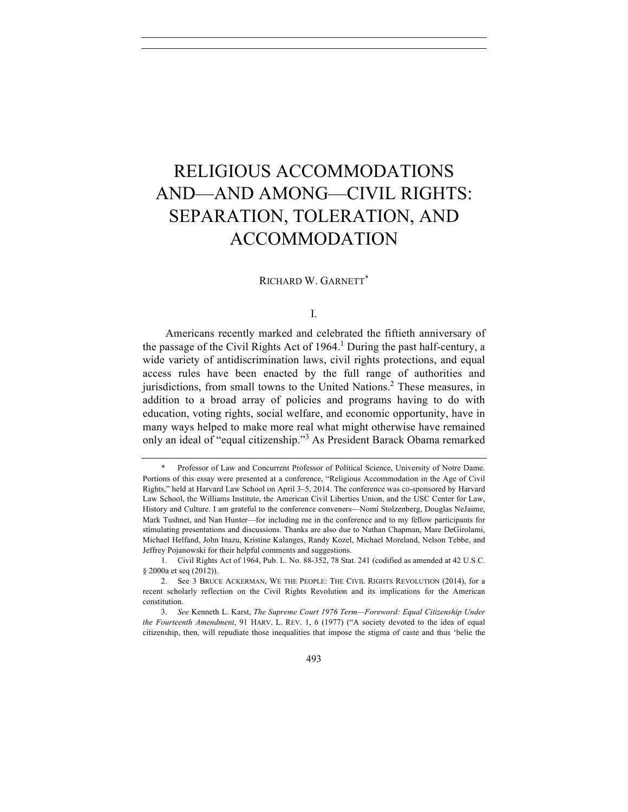# RELIGIOUS ACCOMMODATIONS AND—AND AMONG—CIVIL RIGHTS: SEPARATION, TOLERATION, AND ACCOMMODATION

### RICHARD W. GARNETT\*

### I.

Americans recently marked and celebrated the fiftieth anniversary of the passage of the Civil Rights Act of 1964.<sup>1</sup> During the past half-century, a wide variety of antidiscrimination laws, civil rights protections, and equal access rules have been enacted by the full range of authorities and jurisdictions, from small towns to the United Nations.2 These measures, in addition to a broad array of policies and programs having to do with education, voting rights, social welfare, and economic opportunity, have in many ways helped to make more real what might otherwise have remained only an ideal of "equal citizenship."<sup>3</sup> As President Barack Obama remarked

3. *See* Kenneth L. Karst, *The Supreme Court 1976 Term—Foreword: Equal Citizenship Under the Fourteenth Amendment*, 91 HARV. L. REV. 1, 6 (1977) ("A society devoted to the idea of equal citizenship, then, will repudiate those inequalities that impose the stigma of caste and thus 'belie the

<sup>\*.</sup> Professor of Law and Concurrent Professor of Political Science, University of Notre Dame. Portions of this essay were presented at a conference, "Religious Accommodation in the Age of Civil Rights," held at Harvard Law School on April 3–5, 2014. The conference was co-sponsored by Harvard Law School, the Williams Institute, the American Civil Liberties Union, and the USC Center for Law, History and Culture. I am grateful to the conference conveners—Nomi Stolzenberg, Douglas NeJaime, Mark Tushnet, and Nan Hunter—for including me in the conference and to my fellow participants for stimulating presentations and discussions. Thanks are also due to Nathan Chapman, Mare DeGirolami, Michael Helfand, John Inazu, Kristine Kalanges, Randy Kozel, Michael Moreland, Nelson Tebbe, and Jeffrey Pojanowski for their helpful comments and suggestions.

<sup>1.</sup> Civil Rights Act of 1964, Pub. L. No. 88-352, 78 Stat. 241 (codified as amended at 42 U.S.C. § 2000a et seq (2012)).

<sup>2.</sup> See 3 BRUCE ACKERMAN, WE THE PEOPLE: THE CIVIL RIGHTS REVOLUTION (2014), for a recent scholarly reflection on the Civil Rights Revolution and its implications for the American constitution.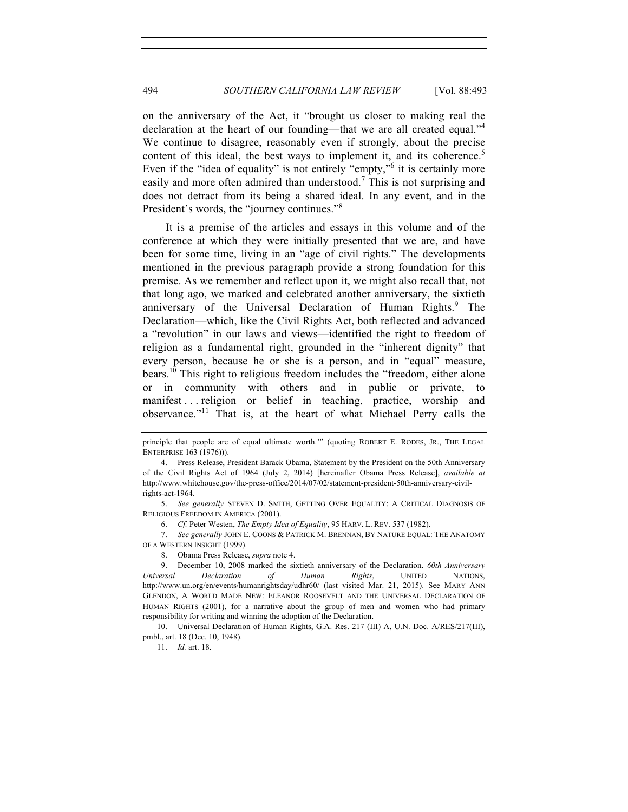on the anniversary of the Act, it "brought us closer to making real the declaration at the heart of our founding—that we are all created equal."<sup>4</sup> We continue to disagree, reasonably even if strongly, about the precise content of this ideal, the best ways to implement it, and its coherence.<sup>5</sup> Even if the "idea of equality" is not entirely "empty," it is certainly more easily and more often admired than understood.<sup>7</sup> This is not surprising and does not detract from its being a shared ideal. In any event, and in the President's words, the "journey continues."<sup>8</sup>

It is a premise of the articles and essays in this volume and of the conference at which they were initially presented that we are, and have been for some time, living in an "age of civil rights." The developments mentioned in the previous paragraph provide a strong foundation for this premise. As we remember and reflect upon it, we might also recall that, not that long ago, we marked and celebrated another anniversary, the sixtieth anniversary of the Universal Declaration of Human Rights.<sup>9</sup> The Declaration—which, like the Civil Rights Act, both reflected and advanced a "revolution" in our laws and views—identified the right to freedom of religion as a fundamental right, grounded in the "inherent dignity" that every person, because he or she is a person, and in "equal" measure, bears.<sup>10</sup> This right to religious freedom includes the "freedom, either alone or in community with others and in public or private, to manifest . . . religion or belief in teaching, practice, worship and observance."<sup>11</sup> That is, at the heart of what Michael Perry calls the

5. *See generally* STEVEN D. SMITH, GETTING OVER EQUALITY: A CRITICAL DIAGNOSIS OF RELIGIOUS FREEDOM IN AMERICA (2001).

6. *Cf.* Peter Westen, *The Empty Idea of Equality*, 95 HARV. L. REV. 537 (1982).

7. *See generally* JOHN E. COONS & PATRICK M. BRENNAN, BY NATURE EQUAL: THE ANATOMY OF A WESTERN INSIGHT (1999).

8. Obama Press Release, *supra* note 4.

10. Universal Declaration of Human Rights, G.A. Res. 217 (III) A, U.N. Doc. A/RES/217(III), pmbl., art. 18 (Dec. 10, 1948).

11. *Id.* art. 18.

principle that people are of equal ultimate worth.'" (quoting ROBERT E. RODES, JR., THE LEGAL ENTERPRISE 163 (1976))).

<sup>4.</sup> Press Release, President Barack Obama, Statement by the President on the 50th Anniversary of the Civil Rights Act of 1964 (July 2, 2014) [hereinafter Obama Press Release], *available at* http://www.whitehouse.gov/the-press-office/2014/07/02/statement-president-50th-anniversary-civilrights-act-1964.

<sup>9.</sup> December 10, 2008 marked the sixtieth anniversary of the Declaration. *60th Anniversary Universal Declaration of Human Rights*, UNITED NATIONS, http://www.un.org/en/events/humanrightsday/udhr60/ (last visited Mar. 21, 2015). See MARY ANN GLENDON, A WORLD MADE NEW: ELEANOR ROOSEVELT AND THE UNIVERSAL DECLARATION OF HUMAN RIGHTS (2001), for a narrative about the group of men and women who had primary responsibility for writing and winning the adoption of the Declaration.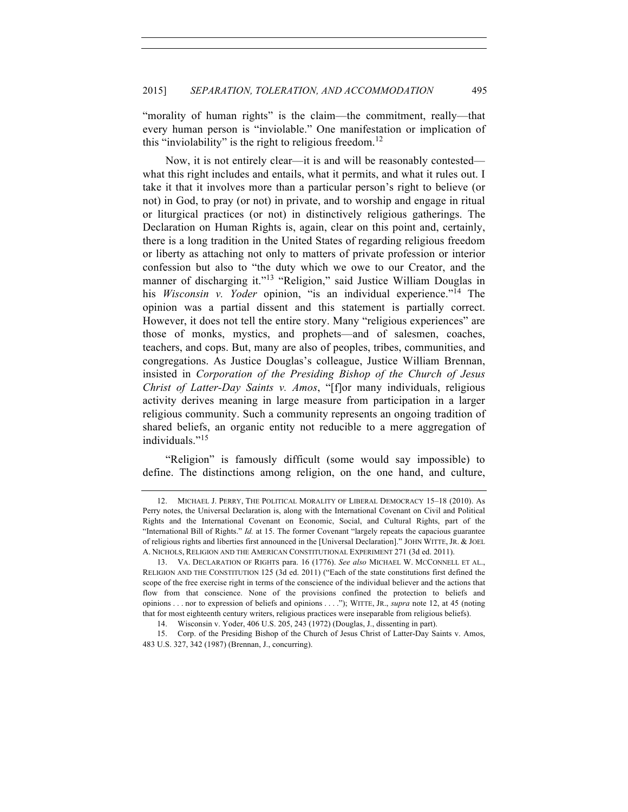"morality of human rights" is the claim—the commitment, really—that every human person is "inviolable." One manifestation or implication of this "inviolability" is the right to religious freedom.<sup>12</sup>

Now, it is not entirely clear—it is and will be reasonably contested what this right includes and entails, what it permits, and what it rules out. I take it that it involves more than a particular person's right to believe (or not) in God, to pray (or not) in private, and to worship and engage in ritual or liturgical practices (or not) in distinctively religious gatherings. The Declaration on Human Rights is, again, clear on this point and, certainly, there is a long tradition in the United States of regarding religious freedom or liberty as attaching not only to matters of private profession or interior confession but also to "the duty which we owe to our Creator, and the manner of discharging it."<sup>13</sup> "Religion," said Justice William Douglas in his *Wisconsin v. Yoder* opinion, "is an individual experience."<sup>14</sup> The opinion was a partial dissent and this statement is partially correct. However, it does not tell the entire story. Many "religious experiences" are those of monks, mystics, and prophets—and of salesmen, coaches, teachers, and cops. But, many are also of peoples, tribes, communities, and congregations. As Justice Douglas's colleague, Justice William Brennan, insisted in *Corporation of the Presiding Bishop of the Church of Jesus Christ of Latter-Day Saints v. Amos*, "[f]or many individuals, religious activity derives meaning in large measure from participation in a larger religious community. Such a community represents an ongoing tradition of shared beliefs, an organic entity not reducible to a mere aggregation of individuals."<sup>15</sup>

"Religion" is famously difficult (some would say impossible) to define. The distinctions among religion, on the one hand, and culture,

<sup>12.</sup> MICHAEL J. PERRY, THE POLITICAL MORALITY OF LIBERAL DEMOCRACY 15–18 (2010). As Perry notes, the Universal Declaration is, along with the International Covenant on Civil and Political Rights and the International Covenant on Economic, Social, and Cultural Rights, part of the "International Bill of Rights." *Id.* at 15. The former Covenant "largely repeats the capacious guarantee of religious rights and liberties first announced in the [Universal Declaration]." JOHN WITTE, JR. & JOEL A. NICHOLS, RELIGION AND THE AMERICAN CONSTITUTIONAL EXPERIMENT 271 (3d ed. 2011).

<sup>13.</sup> VA. DECLARATION OF RIGHTS para. 16 (1776). *See also* MICHAEL W. MCCONNELL ET AL., RELIGION AND THE CONSTITUTION 125 (3d ed. 2011) ("Each of the state constitutions first defined the scope of the free exercise right in terms of the conscience of the individual believer and the actions that flow from that conscience. None of the provisions confined the protection to beliefs and opinions . . . nor to expression of beliefs and opinions . . . ."); WITTE, JR., *supra* note 12, at 45 (noting that for most eighteenth century writers, religious practices were inseparable from religious beliefs).

<sup>14.</sup> Wisconsin v. Yoder, 406 U.S. 205, 243 (1972) (Douglas, J., dissenting in part).

<sup>15.</sup> Corp. of the Presiding Bishop of the Church of Jesus Christ of Latter-Day Saints v. Amos, 483 U.S. 327, 342 (1987) (Brennan, J., concurring).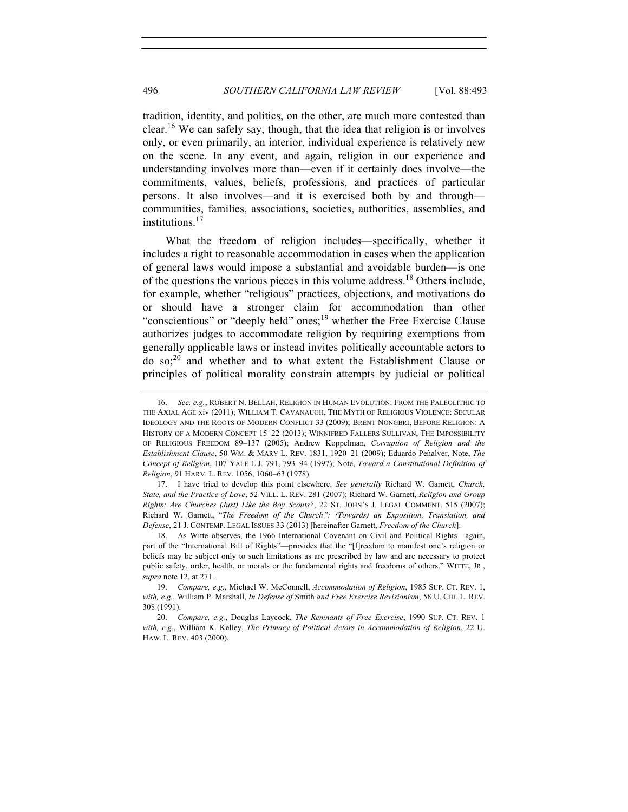tradition, identity, and politics, on the other, are much more contested than clear.16 We can safely say, though, that the idea that religion is or involves only, or even primarily, an interior, individual experience is relatively new on the scene. In any event, and again, religion in our experience and understanding involves more than—even if it certainly does involve—the commitments, values, beliefs, professions, and practices of particular persons. It also involves—and it is exercised both by and through communities, families, associations, societies, authorities, assemblies, and institutions<sup>17</sup>

What the freedom of religion includes—specifically, whether it includes a right to reasonable accommodation in cases when the application of general laws would impose a substantial and avoidable burden—is one of the questions the various pieces in this volume address.<sup>18</sup> Others include, for example, whether "religious" practices, objections, and motivations do or should have a stronger claim for accommodation than other "conscientious" or "deeply held" ones;<sup>19</sup> whether the Free Exercise Clause authorizes judges to accommodate religion by requiring exemptions from generally applicable laws or instead invites politically accountable actors to do so;<sup>20</sup> and whether and to what extent the Establishment Clause or principles of political morality constrain attempts by judicial or political

<sup>16.</sup> *See, e.g.*, ROBERT N. BELLAH, RELIGION IN HUMAN EVOLUTION: FROM THE PALEOLITHIC TO THE AXIAL AGE xiv (2011); WILLIAM T. CAVANAUGH, THE MYTH OF RELIGIOUS VIOLENCE: SECULAR IDEOLOGY AND THE ROOTS OF MODERN CONFLICT 33 (2009); BRENT NONGBRI, BEFORE RELIGION: A HISTORY OF A MODERN CONCEPT 15–22 (2013); WINNIFRED FALLERS SULLIVAN, THE IMPOSSIBILITY OF RELIGIOUS FREEDOM 89–137 (2005); Andrew Koppelman, *Corruption of Religion and the Establishment Clause*, 50 WM. & MARY L. REV. 1831, 1920–21 (2009); Eduardo Peñalver, Note, *The Concept of Religion*, 107 YALE L.J. 791, 793–94 (1997); Note, *Toward a Constitutional Definition of Religion*, 91 HARV. L. REV. 1056, 1060–63 (1978).

<sup>17.</sup> I have tried to develop this point elsewhere. *See generally* Richard W. Garnett, *Church, State, and the Practice of Love*, 52 VILL. L. REV. 281 (2007); Richard W. Garnett, *Religion and Group Rights: Are Churches (Just) Like the Boy Scouts?*, 22 ST. JOHN'S J. LEGAL COMMENT. 515 (2007); Richard W. Garnett, "*The Freedom of the Church": (Towards) an Exposition, Translation, and Defense*, 21 J. CONTEMP. LEGAL ISSUES 33 (2013) [hereinafter Garnett, *Freedom of the Church*].

<sup>18.</sup> As Witte observes, the 1966 International Covenant on Civil and Political Rights—again, part of the "International Bill of Rights"—provides that the "[f]reedom to manifest one's religion or beliefs may be subject only to such limitations as are prescribed by law and are necessary to protect public safety, order, health, or morals or the fundamental rights and freedoms of others." WITTE, JR., *supra* note 12, at 271.

<sup>19.</sup> *Compare, e.g.*, Michael W. McConnell, *Accommodation of Religion*, 1985 SUP. CT. REV. 1, *with, e.g.*, William P. Marshall, *In Defense of* Smith *and Free Exercise Revisionism*, 58 U. CHI. L. REV. 308 (1991).

<sup>20.</sup> *Compare, e.g.*, Douglas Laycock, *The Remnants of Free Exercise*, 1990 SUP. CT. REV. 1 *with, e.g.*, William K. Kelley, *The Primacy of Political Actors in Accommodation of Religion*, 22 U. HAW. L. REV. 403 (2000).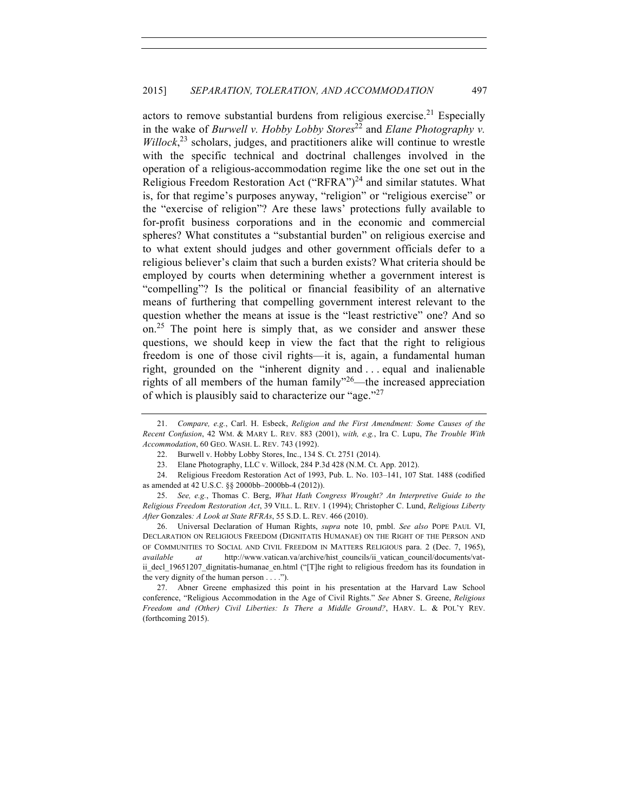actors to remove substantial burdens from religious exercise.<sup>21</sup> Especially in the wake of *Burwell v. Hobby Lobby Stores*<sup>22</sup> and *Elane Photography v. Willock*, <sup>23</sup> scholars, judges, and practitioners alike will continue to wrestle with the specific technical and doctrinal challenges involved in the operation of a religious-accommodation regime like the one set out in the Religious Freedom Restoration Act ("RFRA")<sup>24</sup> and similar statutes. What is, for that regime's purposes anyway, "religion" or "religious exercise" or the "exercise of religion"? Are these laws' protections fully available to for-profit business corporations and in the economic and commercial spheres? What constitutes a "substantial burden" on religious exercise and to what extent should judges and other government officials defer to a religious believer's claim that such a burden exists? What criteria should be employed by courts when determining whether a government interest is "compelling"? Is the political or financial feasibility of an alternative means of furthering that compelling government interest relevant to the question whether the means at issue is the "least restrictive" one? And so on.<sup>25</sup> The point here is simply that, as we consider and answer these questions, we should keep in view the fact that the right to religious freedom is one of those civil rights—it is, again, a fundamental human right, grounded on the "inherent dignity and . . . equal and inalienable rights of all members of the human family $^{226}$ —the increased appreciation of which is plausibly said to characterize our "age."<sup>27</sup>

26. Universal Declaration of Human Rights, *supra* note 10, pmbl. *See also* POPE PAUL VI, DECLARATION ON RELIGIOUS FREEDOM (DIGNITATIS HUMANAE) ON THE RIGHT OF THE PERSON AND OF COMMUNITIES TO SOCIAL AND CIVIL FREEDOM IN MATTERS RELIGIOUS para. 2 (Dec. 7, 1965), *available at* http://www.vatican.va/archive/hist\_councils/ii\_vatican\_council/documents/vatii\_decl\_19651207\_dignitatis-humanae\_en.html ("[T]he right to religious freedom has its foundation in the very dignity of the human person  $\dots$ .").

27. Abner Greene emphasized this point in his presentation at the Harvard Law School conference, "Religious Accommodation in the Age of Civil Rights." *See* Abner S. Greene, *Religious Freedom and (Other) Civil Liberties: Is There a Middle Ground?*, HARV. L. & POL'Y REV. (forthcoming 2015).

<sup>21.</sup> *Compare, e.g.*, Carl. H. Esbeck, *Religion and the First Amendment: Some Causes of the Recent Confusion*, 42 WM. & MARY L. REV. 883 (2001), *with, e.g.*, Ira C. Lupu, *The Trouble With Accommodation*, 60 GEO. WASH. L. REV. 743 (1992).

<sup>22.</sup> Burwell v. Hobby Lobby Stores, Inc., 134 S. Ct. 2751 (2014).

<sup>23.</sup> Elane Photography, LLC v. Willock, 284 P.3d 428 (N.M. Ct. App. 2012).

<sup>24.</sup> Religious Freedom Restoration Act of 1993, Pub. L. No. 103–141, 107 Stat. 1488 (codified as amended at 42 U.S.C. §§ 2000bb–2000bb-4 (2012)).

<sup>25.</sup> *See, e.g.*, Thomas C. Berg, *What Hath Congress Wrought? An Interpretive Guide to the Religious Freedom Restoration Act*, 39 VILL. L. REV. 1 (1994); Christopher C. Lund, *Religious Liberty After* Gonzales*: A Look at State RFRAs*, 55 S.D. L. REV. 466 (2010).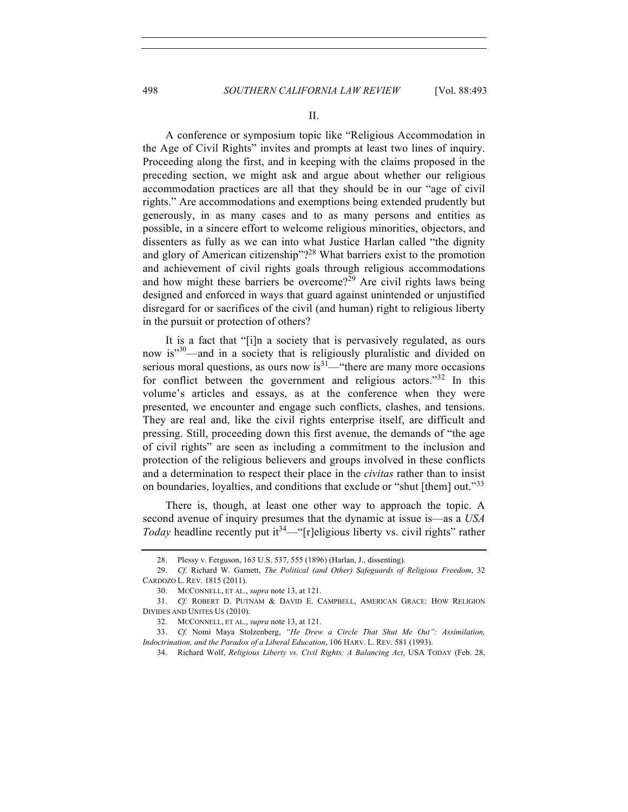## 498 *SOUTHERN CALIFORNIA LAW REVIEW* [Vol. 88:493

II.

A conference or symposium topic like "Religious Accommodation in the Age of Civil Rights" invites and prompts at least two lines of inquiry. Proceeding along the first, and in keeping with the claims proposed in the preceding section, we might ask and argue about whether our religious accommodation practices are all that they should be in our "age of civil rights." Are accommodations and exemptions being extended prudently but generously, in as many cases and to as many persons and entities as possible, in a sincere effort to welcome religious minorities, objectors, and dissenters as fully as we can into what Justice Harlan called "the dignity and glory of American citizenship"?<sup>28</sup> What barriers exist to the promotion and achievement of civil rights goals through religious accommodations and how might these barriers be overcome?<sup>29</sup> Are civil rights laws being designed and enforced in ways that guard against unintended or unjustified disregard for or sacrifices of the civil (and human) right to religious liberty in the pursuit or protection of others?

It is a fact that "[i]n a society that is pervasively regulated, as ours now is<sup>330</sup>—and in a society that is religiously pluralistic and divided on serious moral questions, as ours now  $is^{31}$ —"there are many more occasions for conflict between the government and religious actors."<sup>32</sup> In this volume's articles and essays, as at the conference when they were presented, we encounter and engage such conflicts, clashes, and tensions. They are real and, like the civil rights enterprise itself, are difficult and pressing. Still, proceeding down this first avenue, the demands of "the age of civil rights" are seen as including a commitment to the inclusion and protection of the religious believers and groups involved in these conflicts and a determination to respect their place in the *civitas* rather than to insist on boundaries, loyalties, and conditions that exclude or "shut [them] out."<sup>33</sup>

There is, though, at least one other way to approach the topic. A second avenue of inquiry presumes that the dynamic at issue is—as a *USA Today* headline recently put it<sup>34</sup>—"[r]eligious liberty vs. civil rights" rather

<sup>28.</sup> Plessy v. Ferguson, 163 U.S. 537, 555 (1896) (Harlan, J., dissenting).

<sup>29.</sup> *Cf.* Richard W. Garnett, *The Political (and Other) Safeguards of Religious Freedom*, 32 CARDOZO L. REV. 1815 (2011).

<sup>30.</sup> MCCONNELL, ET AL., *supra* note 13, at 121.

<sup>31.</sup> *Cf.* ROBERT D. PUTNAM & DAVID E. CAMPBELL, AMERICAN GRACE: HOW RELIGION DIVIDES AND UNITES US (2010).

<sup>32.</sup> MCCONNELL, ET AL., *supra* note 13, at 121.

<sup>33.</sup> *Cf.* Nomi Maya Stolzenberg, *"He Drew a Circle That Shut Me Out": Assimilation, Indoctrination, and the Paradox of a Liberal Education*, 106 HARV. L. REV. 581 (1993).

<sup>34.</sup> Richard Wolf, *Religious Liberty vs. Civil Rights: A Balancing Act*, USA TODAY (Feb. 28,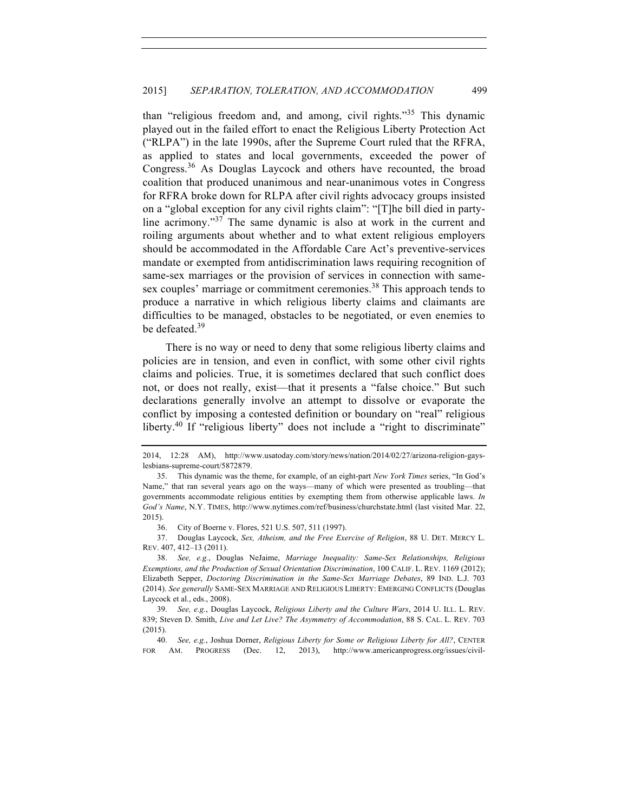than "religious freedom and, and among, civil rights."<sup>35</sup> This dynamic played out in the failed effort to enact the Religious Liberty Protection Act ("RLPA") in the late 1990s, after the Supreme Court ruled that the RFRA, as applied to states and local governments, exceeded the power of Congress.<sup>36</sup> As Douglas Laycock and others have recounted, the broad coalition that produced unanimous and near-unanimous votes in Congress for RFRA broke down for RLPA after civil rights advocacy groups insisted on a "global exception for any civil rights claim": "[T]he bill died in partyline acrimony."<sup>37</sup> The same dynamic is also at work in the current and roiling arguments about whether and to what extent religious employers should be accommodated in the Affordable Care Act's preventive-services mandate or exempted from antidiscrimination laws requiring recognition of same-sex marriages or the provision of services in connection with samesex couples' marriage or commitment ceremonies.<sup>38</sup> This approach tends to produce a narrative in which religious liberty claims and claimants are difficulties to be managed, obstacles to be negotiated, or even enemies to be defeated.<sup>39</sup>

There is no way or need to deny that some religious liberty claims and policies are in tension, and even in conflict, with some other civil rights claims and policies. True, it is sometimes declared that such conflict does not, or does not really, exist—that it presents a "false choice." But such declarations generally involve an attempt to dissolve or evaporate the conflict by imposing a contested definition or boundary on "real" religious liberty.<sup>40</sup> If "religious liberty" does not include a "right to discriminate"

<sup>2014, 12:28</sup> AM), http://www.usatoday.com/story/news/nation/2014/02/27/arizona-religion-gayslesbians-supreme-court/5872879.

<sup>35.</sup> This dynamic was the theme, for example, of an eight-part *New York Times* series, "In God's Name," that ran several years ago on the ways—many of which were presented as troubling—that governments accommodate religious entities by exempting them from otherwise applicable laws. *In God's Name*, N.Y. TIMES, http://www.nytimes.com/ref/business/churchstate.html (last visited Mar. 22, 2015).

<sup>36.</sup> City of Boerne v. Flores, 521 U.S. 507, 511 (1997).

<sup>37.</sup> Douglas Laycock, *Sex, Atheism, and the Free Exercise of Religion*, 88 U. DET. MERCY L. REV. 407, 412–13 (2011).

<sup>38.</sup> *See, e.g.*, Douglas NeJaime, *Marriage Inequality: Same-Sex Relationships, Religious Exemptions, and the Production of Sexual Orientation Discrimination*, 100 CALIF. L. REV. 1169 (2012); Elizabeth Sepper, *Doctoring Discrimination in the Same-Sex Marriage Debates*, 89 IND. L.J. 703 (2014). *See generally* SAME-SEX MARRIAGE AND RELIGIOUS LIBERTY: EMERGING CONFLICTS (Douglas Laycock et al., eds., 2008).

<sup>39.</sup> *See, e.g.*, Douglas Laycock, *Religious Liberty and the Culture Wars*, 2014 U. ILL. L. REV. 839; Steven D. Smith, *Live and Let Live? The Asymmetry of Accommodation*, 88 S. CAL. L. REV. 703 (2015).

<sup>40.</sup> *See, e.g.*, Joshua Dorner, *Religious Liberty for Some or Religious Liberty for All?*, CENTER FOR AM. PROGRESS (Dec. 12, 2013), http://www.americanprogress.org/issues/civil-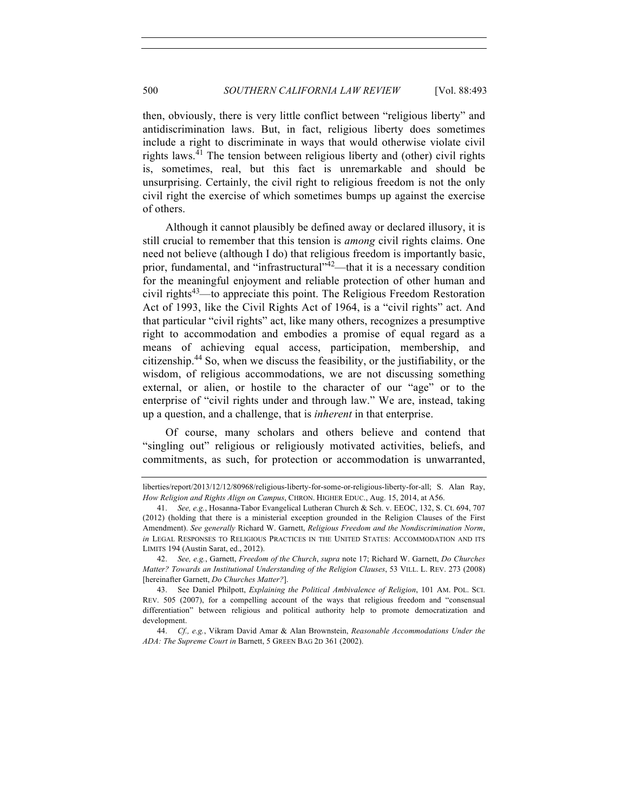then, obviously, there is very little conflict between "religious liberty" and antidiscrimination laws. But, in fact, religious liberty does sometimes include a right to discriminate in ways that would otherwise violate civil rights laws.<sup>41</sup> The tension between religious liberty and (other) civil rights is, sometimes, real, but this fact is unremarkable and should be unsurprising. Certainly, the civil right to religious freedom is not the only civil right the exercise of which sometimes bumps up against the exercise of others.

Although it cannot plausibly be defined away or declared illusory, it is still crucial to remember that this tension is *among* civil rights claims. One need not believe (although I do) that religious freedom is importantly basic, prior, fundamental, and "infrastructural" $4^2$ —that it is a necessary condition for the meaningful enjoyment and reliable protection of other human and civil rights<sup>43</sup>—to appreciate this point. The Religious Freedom Restoration Act of 1993, like the Civil Rights Act of 1964, is a "civil rights" act. And that particular "civil rights" act, like many others, recognizes a presumptive right to accommodation and embodies a promise of equal regard as a means of achieving equal access, participation, membership, and citizenship.<sup>44</sup> So, when we discuss the feasibility, or the justifiability, or the wisdom, of religious accommodations, we are not discussing something external, or alien, or hostile to the character of our "age" or to the enterprise of "civil rights under and through law." We are, instead, taking up a question, and a challenge, that is *inherent* in that enterprise.

Of course, many scholars and others believe and contend that "singling out" religious or religiously motivated activities, beliefs, and commitments, as such, for protection or accommodation is unwarranted,

liberties/report/2013/12/12/80968/religious-liberty-for-some-or-religious-liberty-for-all; S. Alan Ray, *How Religion and Rights Align on Campus*, CHRON. HIGHER EDUC., Aug. 15, 2014, at A56.

<sup>41.</sup> *See, e.g.*, Hosanna-Tabor Evangelical Lutheran Church & Sch. v. EEOC, 132, S. Ct. 694, 707 (2012) (holding that there is a ministerial exception grounded in the Religion Clauses of the First Amendment). *See generally* Richard W. Garnett, *Religious Freedom and the Nondiscrimination Norm*, *in* LEGAL RESPONSES TO RELIGIOUS PRACTICES IN THE UNITED STATES: ACCOMMODATION AND ITS LIMITS 194 (Austin Sarat, ed., 2012).

<sup>42.</sup> *See, e.g.*, Garnett, *Freedom of the Church*, *supra* note 17; Richard W. Garnett, *Do Churches Matter? Towards an Institutional Understanding of the Religion Clauses*, 53 VILL. L. REV. 273 (2008) [hereinafter Garnett, *Do Churches Matter?*].

<sup>43.</sup> See Daniel Philpott, *Explaining the Political Ambivalence of Religion*, 101 AM. POL. SCI. REV. 505 (2007), for a compelling account of the ways that religious freedom and "consensual differentiation" between religious and political authority help to promote democratization and development.

<sup>44.</sup> *Cf., e.g.*, Vikram David Amar & Alan Brownstein, *Reasonable Accommodations Under the ADA: The Supreme Court in* Barnett, 5 GREEN BAG 2D 361 (2002).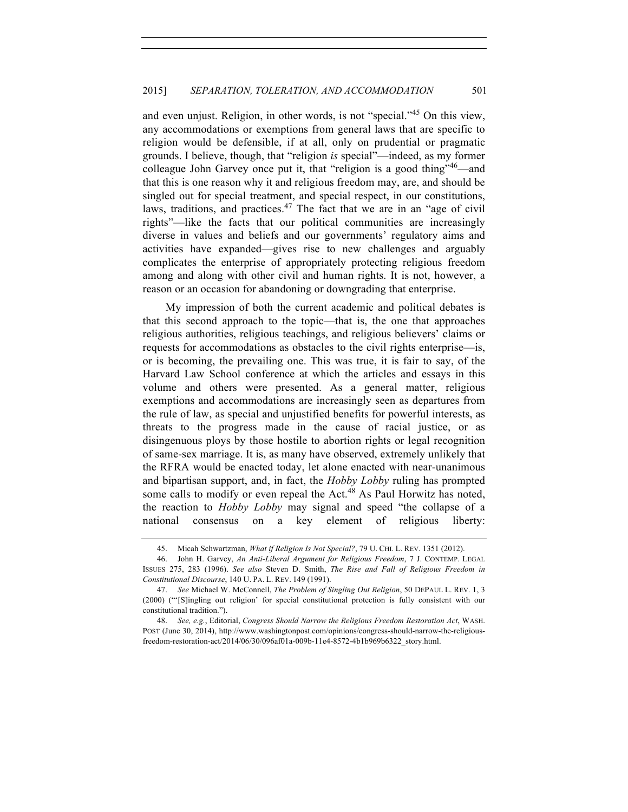and even unjust. Religion, in other words, is not "special."<sup>45</sup> On this view, any accommodations or exemptions from general laws that are specific to religion would be defensible, if at all, only on prudential or pragmatic grounds. I believe, though, that "religion *is* special"—indeed, as my former colleague John Garvey once put it, that "religion is a good thing"46—and that this is one reason why it and religious freedom may, are, and should be singled out for special treatment, and special respect, in our constitutions, laws, traditions, and practices. $47$  The fact that we are in an "age of civil rights"—like the facts that our political communities are increasingly diverse in values and beliefs and our governments' regulatory aims and activities have expanded—gives rise to new challenges and arguably complicates the enterprise of appropriately protecting religious freedom among and along with other civil and human rights. It is not, however, a reason or an occasion for abandoning or downgrading that enterprise.

My impression of both the current academic and political debates is that this second approach to the topic—that is, the one that approaches religious authorities, religious teachings, and religious believers' claims or requests for accommodations as obstacles to the civil rights enterprise—is, or is becoming, the prevailing one. This was true, it is fair to say, of the Harvard Law School conference at which the articles and essays in this volume and others were presented. As a general matter, religious exemptions and accommodations are increasingly seen as departures from the rule of law, as special and unjustified benefits for powerful interests, as threats to the progress made in the cause of racial justice, or as disingenuous ploys by those hostile to abortion rights or legal recognition of same-sex marriage. It is, as many have observed, extremely unlikely that the RFRA would be enacted today, let alone enacted with near-unanimous and bipartisan support, and, in fact, the *Hobby Lobby* ruling has prompted some calls to modify or even repeal the  $Act<sup>48</sup>$  As Paul Horwitz has noted, the reaction to *Hobby Lobby* may signal and speed "the collapse of a national consensus on a key element of religious liberty:

<sup>45.</sup> Micah Schwartzman, *What if Religion Is Not Special?*, 79 U. CHI. L. REV. 1351 (2012).

<sup>46.</sup> John H. Garvey, *An Anti-Liberal Argument for Religious Freedom*, 7 J. CONTEMP. LEGAL ISSUES 275, 283 (1996). *See also* Steven D. Smith, *The Rise and Fall of Religious Freedom in Constitutional Discourse*, 140 U. PA. L. REV. 149 (1991).

<sup>47.</sup> *See* Michael W. McConnell, *The Problem of Singling Out Religion*, 50 DEPAUL L. REV. 1, 3 (2000) ("'[S]ingling out religion' for special constitutional protection is fully consistent with our constitutional tradition.").

<sup>48.</sup> *See, e.g.*, Editorial, *Congress Should Narrow the Religious Freedom Restoration Act*, WASH. POST (June 30, 2014), http://www.washingtonpost.com/opinions/congress-should-narrow-the-religiousfreedom-restoration-act/2014/06/30/096af01a-009b-11e4-8572-4b1b969b6322\_story.html.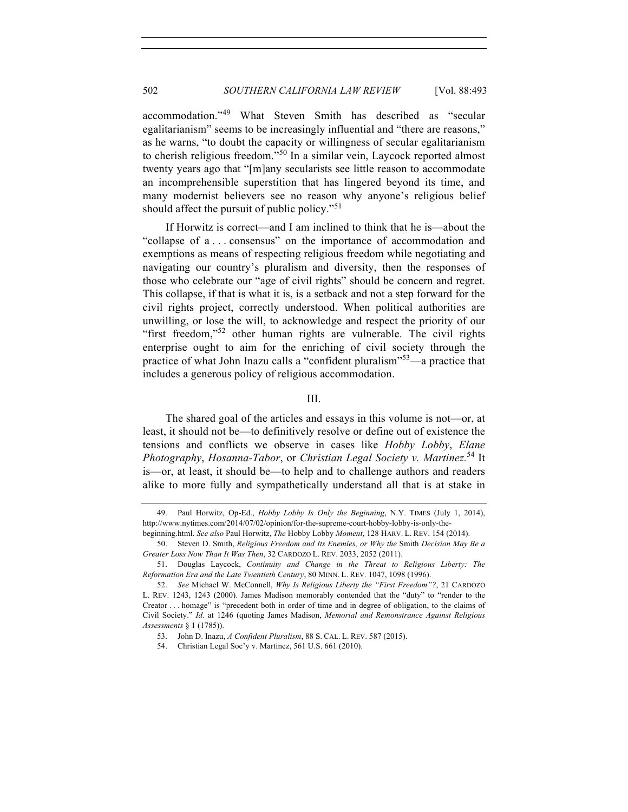accommodation."<sup>49</sup> What Steven Smith has described as "secular egalitarianism" seems to be increasingly influential and "there are reasons," as he warns, "to doubt the capacity or willingness of secular egalitarianism to cherish religious freedom."<sup>50</sup> In a similar vein, Laycock reported almost twenty years ago that "[m]any secularists see little reason to accommodate an incomprehensible superstition that has lingered beyond its time, and many modernist believers see no reason why anyone's religious belief should affect the pursuit of public policy."<sup>51</sup>

If Horwitz is correct—and I am inclined to think that he is—about the "collapse of a . . . consensus" on the importance of accommodation and exemptions as means of respecting religious freedom while negotiating and navigating our country's pluralism and diversity, then the responses of those who celebrate our "age of civil rights" should be concern and regret. This collapse, if that is what it is, is a setback and not a step forward for the civil rights project, correctly understood. When political authorities are unwilling, or lose the will, to acknowledge and respect the priority of our "first freedom,"<sup>52</sup> other human rights are vulnerable. The civil rights enterprise ought to aim for the enriching of civil society through the practice of what John Inazu calls a "confident pluralism"53—a practice that includes a generous policy of religious accommodation.

#### III.

The shared goal of the articles and essays in this volume is not—or, at least, it should not be—to definitively resolve or define out of existence the tensions and conflicts we observe in cases like *Hobby Lobby*, *Elane Photography*, *Hosanna-Tabor*, or *Christian Legal Society v. Martinez.*<sup>54</sup> It is—or, at least, it should be—to help and to challenge authors and readers alike to more fully and sympathetically understand all that is at stake in

<sup>49.</sup> Paul Horwitz, Op-Ed., *Hobby Lobby Is Only the Beginning*, N.Y. TIMES (July 1, 2014), http://www.nytimes.com/2014/07/02/opinion/for-the-supreme-court-hobby-lobby-is-only-thebeginning.html. *See also* Paul Horwitz, *The* Hobby Lobby *Moment*, 128 HARV. L. REV. 154 (2014).

<sup>50.</sup> Steven D. Smith, *Religious Freedom and Its Enemies, or Why the* Smith *Decision May Be a Greater Loss Now Than It Was Then*, 32 CARDOZO L. REV. 2033, 2052 (2011).

<sup>51.</sup> Douglas Laycock, *Continuity and Change in the Threat to Religious Liberty: The Reformation Era and the Late Twentieth Century*, 80 MINN. L. REV. 1047, 1098 (1996).

<sup>52.</sup> *See* Michael W. McConnell, *Why Is Religious Liberty the "First Freedom"?*, 21 CARDOZO L. REV. 1243, 1243 (2000). James Madison memorably contended that the "duty" to "render to the Creator . . . homage" is "precedent both in order of time and in degree of obligation, to the claims of Civil Society." *Id.* at 1246 (quoting James Madison, *Memorial and Remonstrance Against Religious Assessments* § 1 (1785)).

<sup>53.</sup> John D. Inazu, *A Confident Pluralism*, 88 S. CAL. L. REV. 587 (2015).

<sup>54.</sup> Christian Legal Soc'y v. Martinez, 561 U.S. 661 (2010).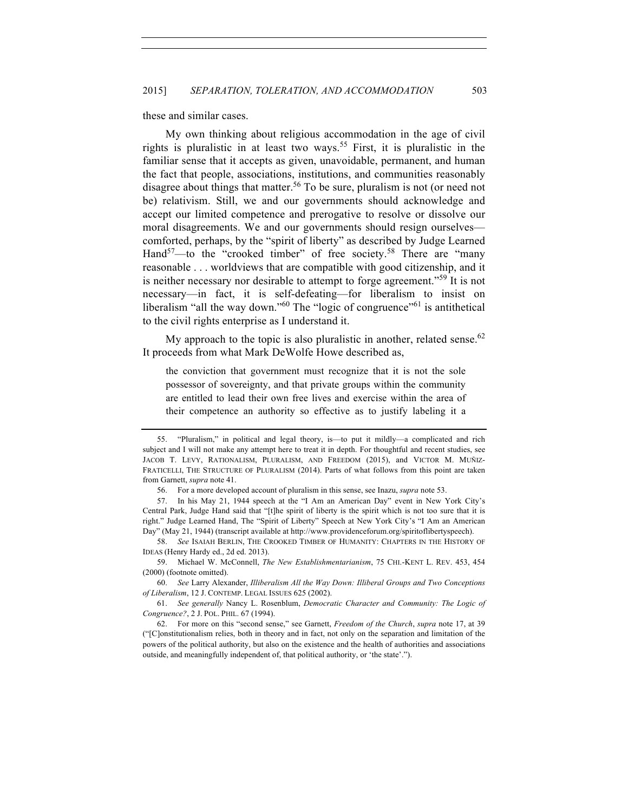these and similar cases.

My own thinking about religious accommodation in the age of civil rights is pluralistic in at least two ways.<sup>55</sup> First, it is pluralistic in the familiar sense that it accepts as given, unavoidable, permanent, and human the fact that people, associations, institutions, and communities reasonably disagree about things that matter.<sup>56</sup> To be sure, pluralism is not (or need not be) relativism. Still, we and our governments should acknowledge and accept our limited competence and prerogative to resolve or dissolve our moral disagreements. We and our governments should resign ourselves comforted, perhaps, by the "spirit of liberty" as described by Judge Learned Hand<sup>57</sup>—to the "crooked timber" of free society.<sup>58</sup> There are "many reasonable . . . worldviews that are compatible with good citizenship, and it is neither necessary nor desirable to attempt to forge agreement."<sup>59</sup> It is not necessary—in fact, it is self-defeating—for liberalism to insist on liberalism "all the way down."<sup>60</sup> The "logic of congruence"<sup>61</sup> is antithetical to the civil rights enterprise as I understand it.

My approach to the topic is also pluralistic in another, related sense.<sup>62</sup> It proceeds from what Mark DeWolfe Howe described as,

the conviction that government must recognize that it is not the sole possessor of sovereignty, and that private groups within the community are entitled to lead their own free lives and exercise within the area of their competence an authority so effective as to justify labeling it a

<sup>55.</sup> "Pluralism," in political and legal theory, is—to put it mildly—a complicated and rich subject and I will not make any attempt here to treat it in depth. For thoughtful and recent studies, see JACOB T. LEVY, RATIONALISM, PLURALISM, AND FREEDOM (2015), and VICTOR M. MUÑIZ-FRATICELLI, THE STRUCTURE OF PLURALISM (2014). Parts of what follows from this point are taken from Garnett, *supra* note 41.

<sup>56.</sup> For a more developed account of pluralism in this sense, see Inazu, *supra* note 53.

<sup>57.</sup> In his May 21, 1944 speech at the "I Am an American Day" event in New York City's Central Park, Judge Hand said that "[t]he spirit of liberty is the spirit which is not too sure that it is right." Judge Learned Hand, The "Spirit of Liberty" Speech at New York City's "I Am an American Day" (May 21, 1944) (transcript available at http://www.providenceforum.org/spiritoflibertyspeech).

<sup>58.</sup> *See* ISAIAH BERLIN, THE CROOKED TIMBER OF HUMANITY: CHAPTERS IN THE HISTORY OF IDEAS (Henry Hardy ed., 2d ed. 2013).

<sup>59.</sup> Michael W. McConnell, *The New Establishmentarianism*, 75 CHI.-KENT L. REV. 453, 454 (2000) (footnote omitted).

<sup>60.</sup> *See* Larry Alexander, *Illiberalism All the Way Down: Illiberal Groups and Two Conceptions of Liberalism*, 12 J. CONTEMP. LEGAL ISSUES 625 (2002).

<sup>61.</sup> *See generally* Nancy L. Rosenblum, *Democratic Character and Community: The Logic of Congruence?*, 2 J. POL. PHIL. 67 (1994).

<sup>62.</sup> For more on this "second sense," see Garnett, *Freedom of the Church*, *supra* note 17, at 39 ("[C]onstitutionalism relies, both in theory and in fact, not only on the separation and limitation of the powers of the political authority, but also on the existence and the health of authorities and associations outside, and meaningfully independent of, that political authority, or 'the state'.").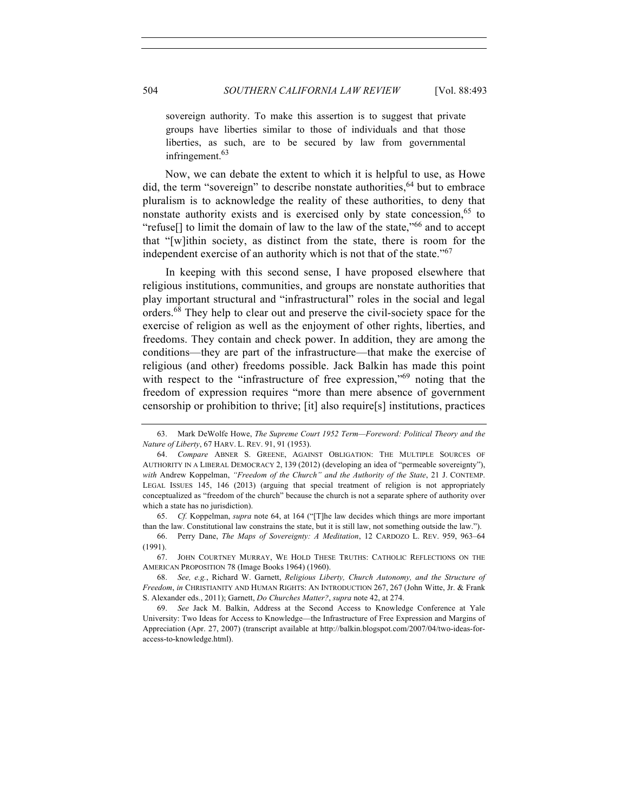sovereign authority. To make this assertion is to suggest that private groups have liberties similar to those of individuals and that those liberties, as such, are to be secured by law from governmental infringement.<sup>63</sup>

Now, we can debate the extent to which it is helpful to use, as Howe did, the term "sovereign" to describe nonstate authorities,  $64$  but to embrace pluralism is to acknowledge the reality of these authorities, to deny that nonstate authority exists and is exercised only by state concession,  $65$  to "refuse[] to limit the domain of law to the law of the state,"<sup>66</sup> and to accept that "[w]ithin society, as distinct from the state, there is room for the independent exercise of an authority which is not that of the state."<sup>67</sup>

In keeping with this second sense, I have proposed elsewhere that religious institutions, communities, and groups are nonstate authorities that play important structural and "infrastructural" roles in the social and legal orders.<sup>68</sup> They help to clear out and preserve the civil-society space for the exercise of religion as well as the enjoyment of other rights, liberties, and freedoms. They contain and check power. In addition, they are among the conditions—they are part of the infrastructure—that make the exercise of religious (and other) freedoms possible. Jack Balkin has made this point with respect to the "infrastructure of free expression,"<sup>69</sup> noting that the freedom of expression requires "more than mere absence of government censorship or prohibition to thrive; [it] also require[s] institutions, practices

65. *Cf.* Koppelman, *supra* note 64, at 164 ("[T]he law decides which things are more important than the law. Constitutional law constrains the state, but it is still law, not something outside the law.").

66. Perry Dane, *The Maps of Sovereignty: A Meditation*, 12 CARDOZO L. REV. 959, 963–64 (1991).

67. JOHN COURTNEY MURRAY, WE HOLD THESE TRUTHS: CATHOLIC REFLECTIONS ON THE AMERICAN PROPOSITION 78 (Image Books 1964) (1960).

<sup>63.</sup> Mark DeWolfe Howe, *The Supreme Court 1952 Term—Foreword: Political Theory and the Nature of Liberty*, 67 HARV. L. REV. 91, 91 (1953).

<sup>64.</sup> *Compare* ABNER S. GREENE, AGAINST OBLIGATION: THE MULTIPLE SOURCES OF AUTHORITY IN A LIBERAL DEMOCRACY 2, 139 (2012) (developing an idea of "permeable sovereignty"), *with* Andrew Koppelman, *"Freedom of the Church" and the Authority of the State*, 21 J. CONTEMP. LEGAL ISSUES 145, 146 (2013) (arguing that special treatment of religion is not appropriately conceptualized as "freedom of the church" because the church is not a separate sphere of authority over which a state has no jurisdiction).

<sup>68.</sup> *See, e.g.*, Richard W. Garnett, *Religious Liberty, Church Autonomy, and the Structure of Freedom*, *in* CHRISTIANITY AND HUMAN RIGHTS: AN INTRODUCTION 267, 267 (John Witte, Jr. & Frank S. Alexander eds., 2011); Garnett, *Do Churches Matter?*, *supra* note 42, at 274.

<sup>69.</sup> *See* Jack M. Balkin, Address at the Second Access to Knowledge Conference at Yale University: Two Ideas for Access to Knowledge—the Infrastructure of Free Expression and Margins of Appreciation (Apr. 27, 2007) (transcript available at http://balkin.blogspot.com/2007/04/two-ideas-foraccess-to-knowledge.html).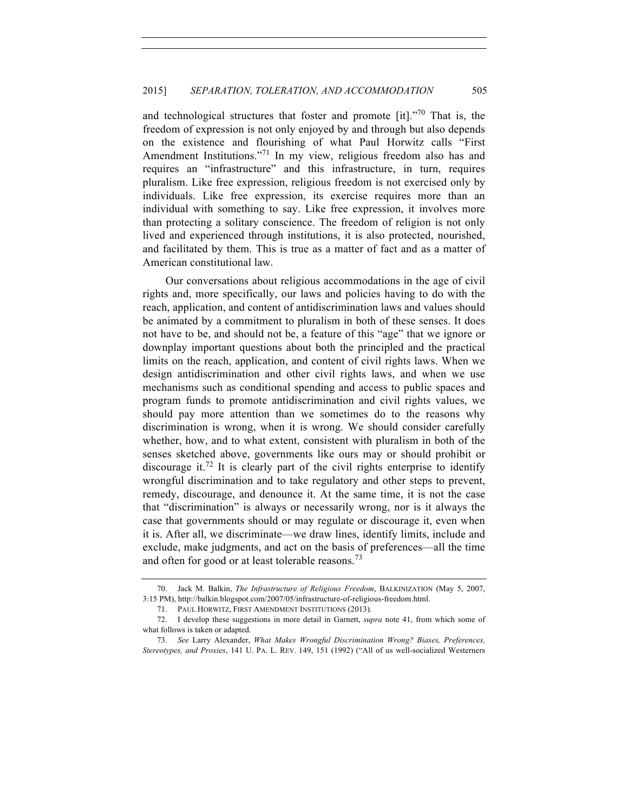and technological structures that foster and promote [it]."<sup>70</sup> That is, the freedom of expression is not only enjoyed by and through but also depends on the existence and flourishing of what Paul Horwitz calls "First Amendment Institutions."<sup>71</sup> In my view, religious freedom also has and requires an "infrastructure" and this infrastructure, in turn, requires pluralism. Like free expression, religious freedom is not exercised only by individuals. Like free expression, its exercise requires more than an individual with something to say. Like free expression, it involves more than protecting a solitary conscience. The freedom of religion is not only lived and experienced through institutions, it is also protected, nourished, and facilitated by them. This is true as a matter of fact and as a matter of American constitutional law.

Our conversations about religious accommodations in the age of civil rights and, more specifically, our laws and policies having to do with the reach, application, and content of antidiscrimination laws and values should be animated by a commitment to pluralism in both of these senses. It does not have to be, and should not be, a feature of this "age" that we ignore or downplay important questions about both the principled and the practical limits on the reach, application, and content of civil rights laws. When we design antidiscrimination and other civil rights laws, and when we use mechanisms such as conditional spending and access to public spaces and program funds to promote antidiscrimination and civil rights values, we should pay more attention than we sometimes do to the reasons why discrimination is wrong, when it is wrong. We should consider carefully whether, how, and to what extent, consistent with pluralism in both of the senses sketched above, governments like ours may or should prohibit or discourage it.<sup>72</sup> It is clearly part of the civil rights enterprise to identify wrongful discrimination and to take regulatory and other steps to prevent, remedy, discourage, and denounce it. At the same time, it is not the case that "discrimination" is always or necessarily wrong, nor is it always the case that governments should or may regulate or discourage it, even when it is. After all, we discriminate—we draw lines, identify limits, include and exclude, make judgments, and act on the basis of preferences—all the time and often for good or at least tolerable reasons.<sup>73</sup>

<sup>70.</sup> Jack M. Balkin, *The Infrastructure of Religious Freedom*, BALKINIZATION (May 5, 2007, 3:15 PM), http://balkin.blogspot.com/2007/05/infrastructure-of-religious-freedom.html.

<sup>71.</sup> PAUL HORWITZ, FIRST AMENDMENT INSTITUTIONS (2013).

<sup>72.</sup> I develop these suggestions in more detail in Garnett, *supra* note 41, from which some of what follows is taken or adapted.

<sup>73.</sup> *See* Larry Alexander, *What Makes Wrongful Discrimination Wrong? Biases, Preferences, Stereotypes, and Proxies*, 141 U. PA. L. REV. 149, 151 (1992) ("All of us well-socialized Westerners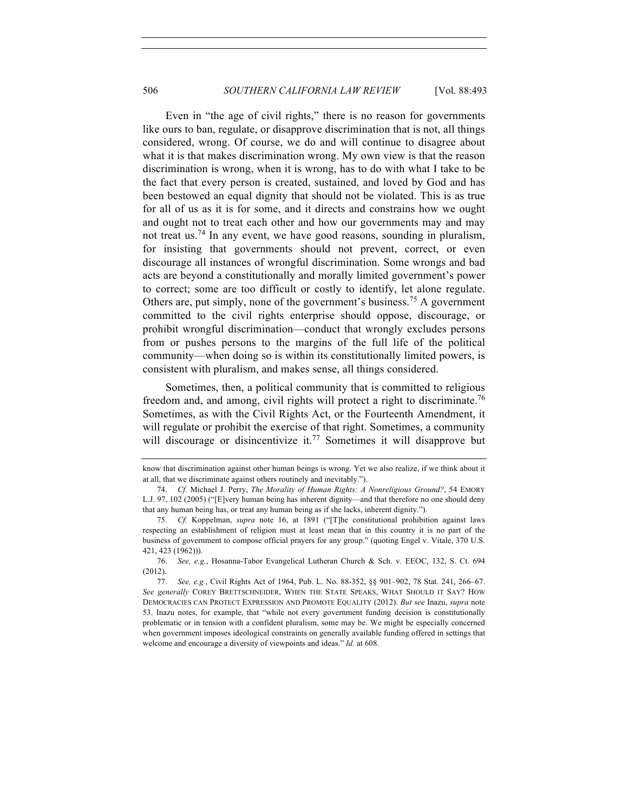Even in "the age of civil rights," there is no reason for governments like ours to ban, regulate, or disapprove discrimination that is not, all things considered, wrong. Of course, we do and will continue to disagree about what it is that makes discrimination wrong. My own view is that the reason discrimination is wrong, when it is wrong, has to do with what I take to be the fact that every person is created, sustained, and loved by God and has been bestowed an equal dignity that should not be violated. This is as true for all of us as it is for some, and it directs and constrains how we ought and ought not to treat each other and how our governments may and may not treat us.<sup>74</sup> In any event, we have good reasons, sounding in pluralism, for insisting that governments should not prevent, correct, or even discourage all instances of wrongful discrimination. Some wrongs and bad acts are beyond a constitutionally and morally limited government's power to correct; some are too difficult or costly to identify, let alone regulate. Others are, put simply, none of the government's business.<sup>75</sup> A government committed to the civil rights enterprise should oppose, discourage, or prohibit wrongful discrimination—conduct that wrongly excludes persons from or pushes persons to the margins of the full life of the political community—when doing so is within its constitutionally limited powers, is consistent with pluralism, and makes sense, all things considered.

Sometimes, then, a political community that is committed to religious freedom and, and among, civil rights will protect a right to discriminate.<sup>76</sup> Sometimes, as with the Civil Rights Act, or the Fourteenth Amendment, it will regulate or prohibit the exercise of that right. Sometimes, a community will discourage or disincentivize it.<sup>77</sup> Sometimes it will disapprove but

know that discrimination against other human beings is wrong. Yet we also realize, if we think about it at all, that we discriminate against others routinely and inevitably.").

<sup>74.</sup> *Cf.* Michael J. Perry, *The Morality of Human Rights: A Nonreligious Ground?*, 54 EMORY L.J. 97, 102 (2005) ("[E]very human being has inherent dignity—and that therefore no one should deny that any human being has, or treat any human being as if she lacks, inherent dignity.").

<sup>75.</sup> *Cf.* Koppelman, *supra* note 16, at 1891 ("[T]he constitutional prohibition against laws respecting an establishment of religion must at least mean that in this country it is no part of the business of government to compose official prayers for any group." (quoting Engel v. Vitale, 370 U.S. 421, 423 (1962))).

<sup>76.</sup> *See, e.g.*, Hosanna-Tabor Evangelical Lutheran Church & Sch. v. EEOC, 132, S. Ct. 694 (2012).

<sup>77.</sup> *See, e.g.*, Civil Rights Act of 1964, Pub. L. No. 88-352, §§ 901–902, 78 Stat. 241, 266–67. *See generally* COREY BRETTSCHNEIDER, WHEN THE STATE SPEAKS, WHAT SHOULD IT SAY? HOW DEMOCRACIES CAN PROTECT EXPRESSION AND PROMOTE EQUALITY (2012). *But see* Inazu, *supra* note 53. Inazu notes, for example, that "while not every government funding decision is constitutionally problematic or in tension with a confident pluralism, some may be. We might be especially concerned when government imposes ideological constraints on generally available funding offered in settings that welcome and encourage a diversity of viewpoints and ideas." *Id.* at 608.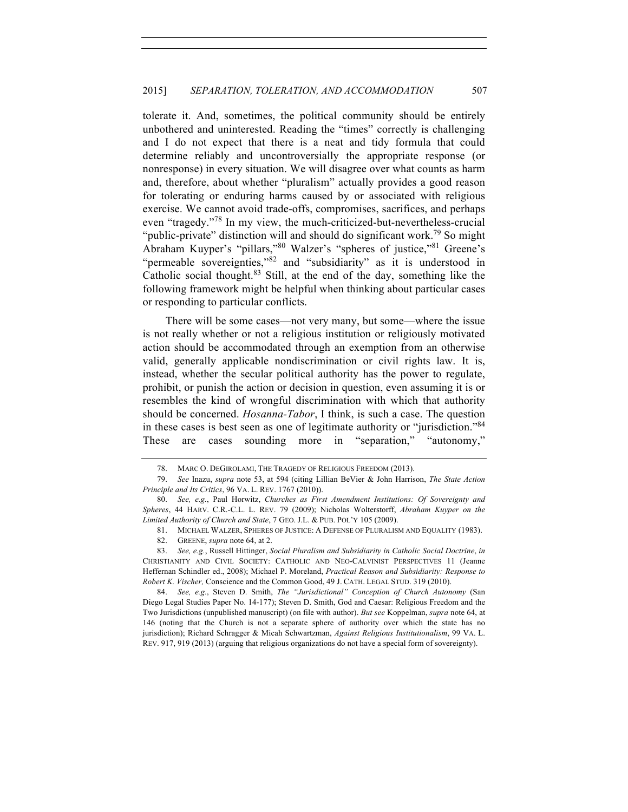tolerate it. And, sometimes, the political community should be entirely unbothered and uninterested. Reading the "times" correctly is challenging and I do not expect that there is a neat and tidy formula that could determine reliably and uncontroversially the appropriate response (or nonresponse) in every situation. We will disagree over what counts as harm and, therefore, about whether "pluralism" actually provides a good reason for tolerating or enduring harms caused by or associated with religious exercise. We cannot avoid trade-offs, compromises, sacrifices, and perhaps even "tragedy."<sup>78</sup> In my view, the much-criticized-but-nevertheless-crucial "public-private" distinction will and should do significant work.<sup>79</sup> So might Abraham Kuyper's "pillars,"80 Walzer's "spheres of justice."81 Greene's "permeable sovereignties,"<sup>82</sup> and "subsidiarity" as it is understood in Catholic social thought.<sup>83</sup> Still, at the end of the day, something like the following framework might be helpful when thinking about particular cases or responding to particular conflicts.

There will be some cases—not very many, but some—where the issue is not really whether or not a religious institution or religiously motivated action should be accommodated through an exemption from an otherwise valid, generally applicable nondiscrimination or civil rights law. It is, instead, whether the secular political authority has the power to regulate, prohibit, or punish the action or decision in question, even assuming it is or resembles the kind of wrongful discrimination with which that authority should be concerned. *Hosanna-Tabor*, I think, is such a case. The question in these cases is best seen as one of legitimate authority or "jurisdiction."84 These are cases sounding more in "separation," "autonomy,"

<sup>78.</sup> MARC O. DEGIROLAMI, THE TRAGEDY OF RELIGIOUS FREEDOM (2013).

<sup>79.</sup> *See* Inazu, *supra* note 53, at 594 (citing Lillian BeVier & John Harrison, *The State Action Principle and Its Critics*, 96 VA. L. REV. 1767 (2010)).

<sup>80.</sup> *See, e.g.*, Paul Horwitz, *Churches as First Amendment Institutions: Of Sovereignty and Spheres*, 44 HARV. C.R.-C.L. L. REV. 79 (2009); Nicholas Wolterstorff, *Abraham Kuyper on the Limited Authority of Church and State*, 7 GEO. J.L. & PUB. POL'Y 105 (2009).

<sup>81.</sup> MICHAEL WALZER, SPHERES OF JUSTICE: A DEFENSE OF PLURALISM AND EQUALITY (1983).

<sup>82.</sup> GREENE, *supra* note 64, at 2.

<sup>83.</sup> *See, e.g.*, Russell Hittinger, *Social Pluralism and Subsidiarity in Catholic Social Doctrine*, *in*  CHRISTIANITY AND CIVIL SOCIETY: CATHOLIC AND NEO-CALVINIST PERSPECTIVES 11 (Jeanne Heffernan Schindler ed., 2008); Michael P. Moreland, *Practical Reason and Subsidiarity: Response to Robert K. Vischer,* Conscience and the Common Good, 49 J. CATH. LEGAL STUD. 319 (2010).

<sup>84.</sup> *See, e.g.*, Steven D. Smith, *The "Jurisdictional" Conception of Church Autonomy* (San Diego Legal Studies Paper No. 14-177); Steven D. Smith, God and Caesar: Religious Freedom and the Two Jurisdictions (unpublished manuscript) (on file with author). *But see* Koppelman, *supra* note 64, at 146 (noting that the Church is not a separate sphere of authority over which the state has no jurisdiction); Richard Schragger & Micah Schwartzman, *Against Religious Institutionalism*, 99 VA. L. REV. 917, 919 (2013) (arguing that religious organizations do not have a special form of sovereignty).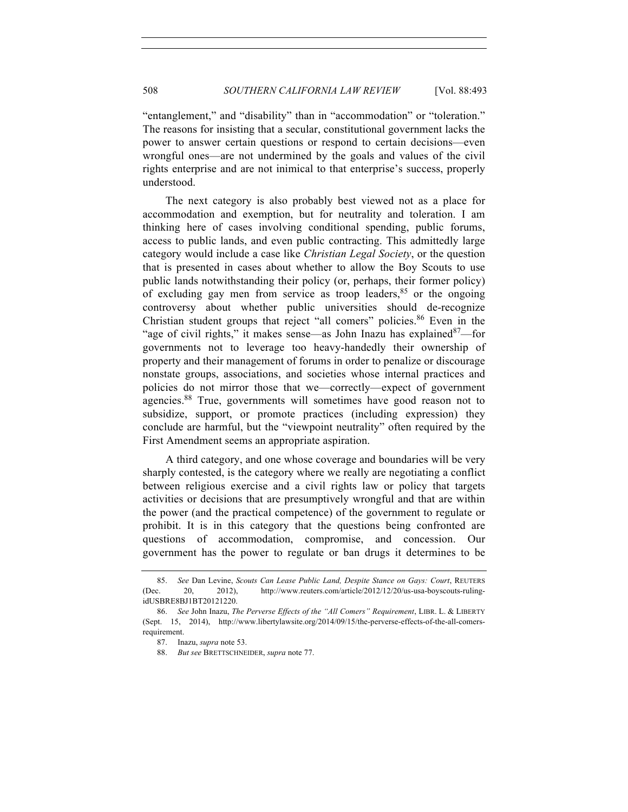"entanglement," and "disability" than in "accommodation" or "toleration." The reasons for insisting that a secular, constitutional government lacks the power to answer certain questions or respond to certain decisions—even wrongful ones—are not undermined by the goals and values of the civil rights enterprise and are not inimical to that enterprise's success, properly understood.

The next category is also probably best viewed not as a place for accommodation and exemption, but for neutrality and toleration. I am thinking here of cases involving conditional spending, public forums, access to public lands, and even public contracting. This admittedly large category would include a case like *Christian Legal Society*, or the question that is presented in cases about whether to allow the Boy Scouts to use public lands notwithstanding their policy (or, perhaps, their former policy) of excluding gay men from service as troop leaders,  $85$  or the ongoing controversy about whether public universities should de-recognize Christian student groups that reject "all comers" policies.<sup>86</sup> Even in the "age of civil rights," it makes sense—as John Inazu has explained  $87$ —for governments not to leverage too heavy-handedly their ownership of property and their management of forums in order to penalize or discourage nonstate groups, associations, and societies whose internal practices and policies do not mirror those that we—correctly—expect of government agencies.<sup>88</sup> True, governments will sometimes have good reason not to subsidize, support, or promote practices (including expression) they conclude are harmful, but the "viewpoint neutrality" often required by the First Amendment seems an appropriate aspiration.

A third category, and one whose coverage and boundaries will be very sharply contested, is the category where we really are negotiating a conflict between religious exercise and a civil rights law or policy that targets activities or decisions that are presumptively wrongful and that are within the power (and the practical competence) of the government to regulate or prohibit. It is in this category that the questions being confronted are questions of accommodation, compromise, and concession. Our government has the power to regulate or ban drugs it determines to be

<sup>85.</sup> *See* Dan Levine, *Scouts Can Lease Public Land, Despite Stance on Gays: Court*, REUTERS (Dec. 20, 2012), http://www.reuters.com/article/2012/12/20/us-usa-boyscouts-rulingidUSBRE8BJ1BT20121220.

<sup>86.</sup> *See* John Inazu, *The Perverse Effects of the "All Comers" Requirement*, LIBR. L. & LIBERTY (Sept. 15, 2014), http://www.libertylawsite.org/2014/09/15/the-perverse-effects-of-the-all-comersrequirement.

<sup>87.</sup> Inazu, *supra* note 53.

<sup>88.</sup> *But see* BRETTSCHNEIDER, *supra* note 77.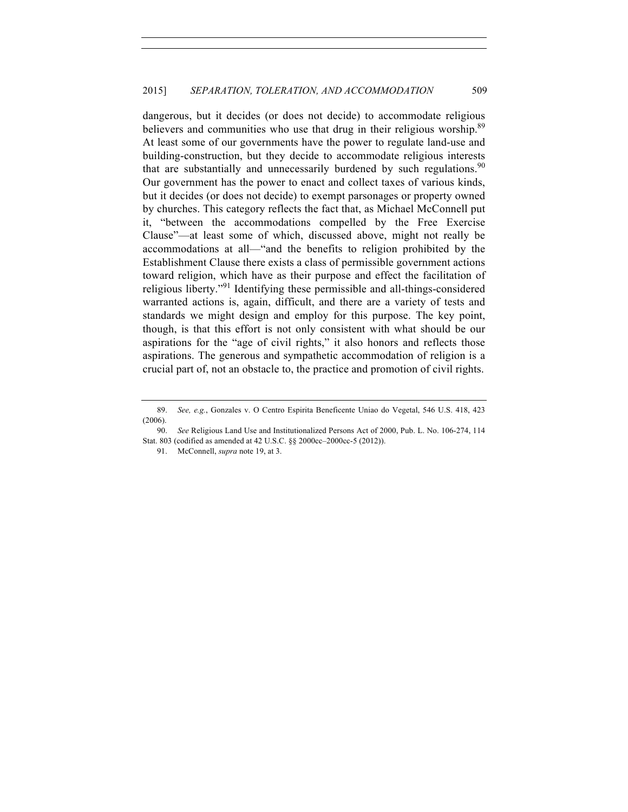dangerous, but it decides (or does not decide) to accommodate religious believers and communities who use that drug in their religious worship.<sup>89</sup> At least some of our governments have the power to regulate land-use and building-construction, but they decide to accommodate religious interests that are substantially and unnecessarily burdened by such regulations.<sup>90</sup> Our government has the power to enact and collect taxes of various kinds, but it decides (or does not decide) to exempt parsonages or property owned by churches. This category reflects the fact that, as Michael McConnell put it, "between the accommodations compelled by the Free Exercise Clause"—at least some of which, discussed above, might not really be accommodations at all—"and the benefits to religion prohibited by the Establishment Clause there exists a class of permissible government actions toward religion, which have as their purpose and effect the facilitation of religious liberty."<sup>91</sup> Identifying these permissible and all-things-considered warranted actions is, again, difficult, and there are a variety of tests and standards we might design and employ for this purpose. The key point, though, is that this effort is not only consistent with what should be our aspirations for the "age of civil rights," it also honors and reflects those aspirations. The generous and sympathetic accommodation of religion is a crucial part of, not an obstacle to, the practice and promotion of civil rights.

<sup>89.</sup> *See, e.g.*, Gonzales v. O Centro Espirita Beneficente Uniao do Vegetal, 546 U.S. 418, 423 (2006).

<sup>90.</sup> *See* Religious Land Use and Institutionalized Persons Act of 2000, Pub. L. No. 106-274, 114 Stat. 803 (codified as amended at 42 U.S.C. §§ 2000cc–2000cc-5 (2012)).

<sup>91.</sup> McConnell, *supra* note 19, at 3.